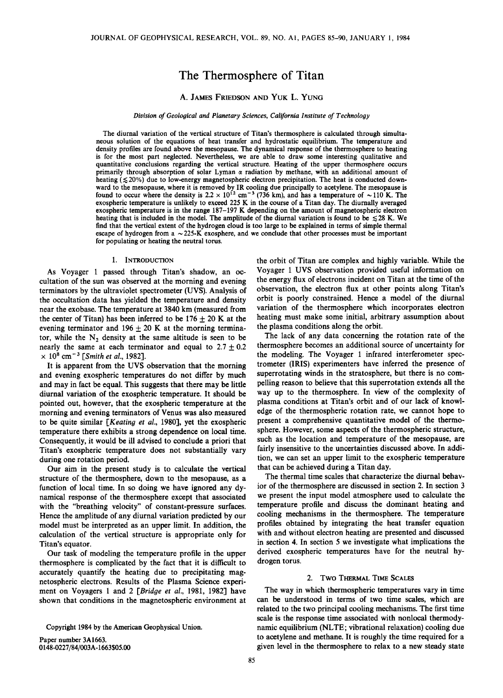# **The Thermosphere of Titan**

# **A. JAMES FRIEDSON AND YUK L. YUNG**

### **Division of Geological and Planetary Sciences, California Institute of Technology**

**The diurnal variation of the vertical structure of Titan's thermosphere is calculated through simultaneous solution of the equations of heat transfer and hydrostatic equilibrium. The temperature and density profiles are found above the mesopause. The dynamical response of the thermosphere to heating is for the most part neglected. Nevertheless, we are able to draw some interesting qualitative and quantitative conclusions regarding the vertical structure. Heating of the upper thermosphere occurs**  primarily through absorption of solar Lyman  $\alpha$  radiation by methane, with an additional amount of heating ( $\leq 20\%$ ) due to low-energy magnetospheric electron precipitation. The heat is conducted down**ward to the mesopause, where it is removed by IR cooling due principally to acetylene. The mesopause is**  found to occur where the density is  $2.2 \times 10^{12}$  cm<sup>-3</sup> (736 km), and has a temperature of  $\sim$ 110 K. The exospheric temperature is unlikely to exceed 225 K in the course of a Titan day. The diurnally averaged **exospheric temperature is in the range 187-197 K depending on the amount of magnetospheric electron**  heating that is included in the model. The amplitude of the diurnal variation is found to be  $\leq 28$  K. We **find that the vertical extent of the hydrogen cloud is too large to be explained in terms of simple thermal**  escape of hydrogen from  $a \sim 225$ -K exosphere, and we conclude that other processes must be important **for populating or heating the neutral torus.** 

## **1. INTRODUCTION**

**As Voyager 1 passed through Titan's shadow, an occultation of the sun was observed at the morning and evening terminators by the ultraviolet spectrometer (UVS). Analysis of the occultation data has yielded the temperature and density near the exobase. The temperature at 3840 km (measured from**  the center of Titan) has been inferred to be  $176 \pm 20$  K at the evening terminator and  $196 \pm 20$  K at the morning terminator, while the  $N_2$  density at the same altitude is seen to be nearly the same at each terminator and equal to  $2.7 \pm 0.2$  $\times$  10<sup>8</sup> cm<sup>-3</sup> [*Smith et al.,* 1982].

**It is apparent from the UVS observation that the morning and evening exospheric temperatures do not differ by much and may in fact be equal. This suggests that there may be little diurnal variation of the exospheric temperature. It should be pointed out, however, that the exospheric temperature at the morning and evening terminators of Venus was also measured to be quite similar [Keating et at., 1980], yet the exospheric temperature there exhibits a strong dependence on local time. Consequently, it would be ill advised to conclude a priori that Titan's exospheric temperature does not substantially vary during one rotation period.** 

**Our aim in the present study is to calculate the vertical structure of the thermosphere, down to the mesopause, as a function of local time. In so doing we have ignored any dynamical response of the thermosphere except that associated with the "breathing velocity" of constant-pressure surfaces. Hence the amplitude of any diurnal variation predicted by our model must be interpreted as an upper limit. In addition, the calculation of the vertical structure is appropriate only for Titan's equator.** 

**Our task of modeling the temperature profile in the upper thermosphere is complicated by the fact that it is difficult to accurately quantify the heating due to precipitating magnetospheric electrons. Results of the Plasma Science experiment on Voyagers 1 and 2 [Bridge et at., 1981, 1982] have shown that conditions in the magnetospheric environment at** 

**Paper number 3A1663. 0148-0227/84/003A- 1663505.00**  **the orbit of Titan are complex and highly variable. While the Voyager 1 UVS observation provided useful information on the energy flux of electrons incident on Titan at the time of the observation, the electron flux at other points along Titan's orbit is poorly constrained. Hence a model of the diurnal variation of the thermosphere which incorporates electron heating must make some initial, arbitrary assumption about the plasma conditions along the orbit.** 

**The lack of any data concerning the rotation rate of the thermosphere becomes an additional source of uncertainty for the modeling. The Voyager 1 infrared interferometer spectrometer (IRIS) experimenters have inferred the presence of superrotating winds in the stratosphere, but there is no compelling reason to believe that this superrotation extends all the way up to the thermosphere. In view of the complexity of plasma conditions at Titan's orbit and of our lack of knowledge of the thermospheric rotation rate, we cannot hope to present a comprehensive quantitative model of the thermosphere. However, some aspects of the thermospheric structure, such as the location and temperature of the mesopause, are fairly insensitive to the uncertainties discussed above. In addition, we can set an upper limit to the exospheric temperature that can be achieved during a Titan day.** 

**The thermal time scales that characterize the diurnal behavior of the thermosphere are discussed in section 2. In section 3 we present the input model atmosphere used to calculate the temperature profile and discuss the dominant heating and cooling mechanisms in the thermosphere. The temperature profiles obtained by integrating the heat transfer equation with and without electron heating are presented and discussed in section 4. In section 5 we investigate what implications the derived exospheric temperatures have for the neutral hydrogen torus.** 

# **2. Two THERMAL TIME SCALES**

**The way in which thermospheric temperatures vary in time can be understood in terms of two time scales, which are related to the two principal cooling mechanisms. The first time scale is the response time associated with nonlocal thermodynamic equilibrium (NLTE; vibrational relaxation) cooling due to acetylene and methane. It is roughly the time required for a given level in the thermosphere to relax to a new steady state** 

**Copyright 1984 by the American Geophysical Union.**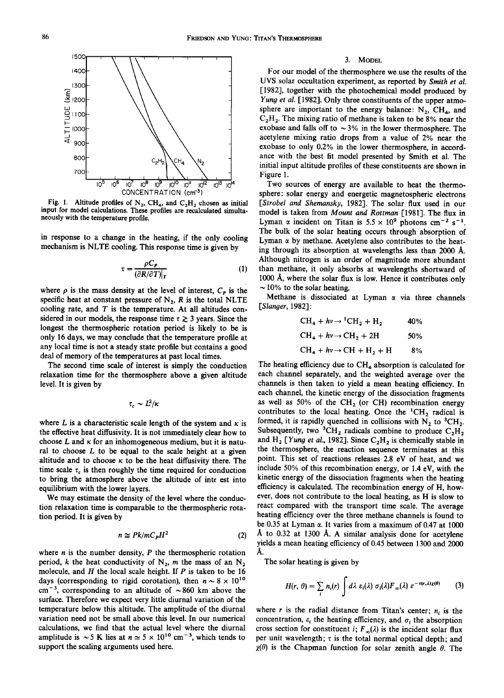

Fig. 1. Altitude profiles of  $N_2$ , CH<sub>4</sub>, and  $C_2H_2$  chosen as initial **input for model calculations. These profiles are recalculated simultaneously with the temperature profile.** 

**in response to a change in the heating, if the only cooling mechanism isNLTE cooling. This response time is given by** 

$$
\tau = \frac{\rho C_P}{(\partial R/\partial T)|_T}
$$
 (1)

where  $\rho$  is the mass density at the level of interest,  $C_{\rho}$  is the specific heat at constant pressure of  $N_2$ ,  $R$  is the total NLTE **cooling rate, and T is the temperature. At all altitudes con**sidered in our models, the response time  $\tau \geq 3$  years. Since the **longest the thermospheric rotation period is likely to be is only 16 days, we may conclude that the temperature profile at any local time is not a steady state profile but contains a good deal of memory of the temperatures at past local times.** 

**The second time scale of interest is simply the conduction relaxation time for the thermosphere above a given altitude level. It is given by** 

$$
\tau_c \sim L^2/\kappa
$$

where L is a characteristic scale length of the system and  $\kappa$  is **the effective heat diffusivity. It is not immediately clear how to**  choose  $L$  and  $\kappa$  for an inhomogeneous medium, but it is natu**ral to choose L to be equal to the scale height at a given**  altitude and to choose  $\kappa$  to be the heat diffusivity there. The time scale  $\tau_c$  is then roughly the time required for conduction **to bring the atmosphere above the altitude of inte est into equilibrium with the lower layers.** 

**We may estimate the density of the level where the conduction relaxation time is comparable to the thermospheric rotation period. It is given by** 

$$
n \cong P k/m C_P H^2 \tag{2}
$$

**where n is the number density, P the thermospheric rotation**  period, k the heat conductivity of  $N_2$ , m the mass of an  $N_2$ **molecule, and H the local scale height. If P is taken to be 16**  days (corresponding to rigid corotation), then  $n \sim 8 \times 10^{10}$  $cm^{-3}$ , corresponding to an altitude of  $\sim 860$  km above the **surface. Therefore we expect very little diurnal variation of the temperature below this altitude. The amplitude of the diurnal variation need not be small above this level. In our numerical calculations, we find that the actual level where the diurnal**  amplitude is  $\sim$  5 K lies at  $n \approx$  5  $\times$  10<sup>10</sup> cm<sup>-3</sup>, which tends to **support the scaling arguments used here.** 

#### **3. MODEL**

**For our model of the thermosphere we use the results of the UVS solar occultation experiment, as reported by Smith et al. [1982], together with the photochemical model produced by Yung et al. [1982]. Only three constituents of the upper atmo**sphere are important to the energy balance:  $N_2$ ,  $CH_4$ , and **C2H 2. The mixing ratio of methane is taken to be 8% near the**  exobase and falls off to  $\sim$ 3% in the lower thermosphere. The **acetylene mixing ratio drops from a value of 2% near the**  exobase to only 0.2% in the lower thermosphere, in accord**ance with the best fit model presented by Smith et al. The initial input altitude profiles of these constituents are shown in Figure 1.** 

**Two sources of energy are available to heat the thermosphere' solar energy and energetic magnetospheric electrons [Strobel and Shemansky, 1982]. The solar flux used in our model is taken from Mount and Rottman [1981]. The flux in**  Lyman  $\alpha$  incident on Titan is  $5.5 \times 10^9$  photons cm<sup>-2</sup> s<sup>-1</sup>. **The bulk of the solar heating occurs through absorption of**  Lyman  $\alpha$  by methane. Acetylene also contributes to the heat**ing through its absorption at wavelengths less than 2000 Although nitrogen is an order of magnitude more abundant**  than methane, it only absorbs at wavelengths shortward of 1000 Å, where the solar flux is low. Hence it contributes only  $\sim$  10% to the solar heating.

Methane is dissociated at Lyman  $\alpha$  via three channels **[Slanger, 1982]'** 

$$
CH_4 + hv \rightarrow {}^{1}CH_2 + H_2
$$
 40%  
CH<sub>4</sub> + hv \rightarrow CH<sub>2</sub> + 2H 50%  
CH<sub>4</sub> + hv \rightarrow CH + H<sub>2</sub> + H 8%

The heating efficiency due to CH<sub>4</sub> absorption is calculated for **each channel separately, and the weighted average over the channels is then taken to yield a mean heating efficiency. In each channel, the kinetic energy of the dissociation fragments**  as well as 50% of the  $CH<sub>2</sub>$  (or CH) recombination energy contributes to the local heating. Once the <sup>1</sup>CH<sub>2</sub> radical is formed, it is rapidly quenched in collisions with  $N<sub>2</sub>$  to  $<sup>3</sup>CH<sub>2</sub>$ .</sup> Subsequently, two <sup>3</sup>CH<sub>2</sub> radicals combine to produce  $C_2H_2$ and H<sub>2</sub> [*Yung et al.*, 1982]. Since  $C_2H_2$  is chemically stable in **the thermosphere, the reaction sequence terminates at this point. This set of reactions releases 2.8 eV of heat, and we include 50% of this recombination energy, or 1.4 eV, with the kinetic energy of the dissociation fragments when the heating efficiency is calculated. The recombination energy of H, however, does not contribute to the local heating, as H is slow to react compared with the transport time scale. The average heating efficiency over the three methane channels is found to**  be  $0.35$  at Lyman  $\alpha$ . It varies from a maximum of  $0.47$  at  $1000$ Å to 0.32 at 1300 Å. A similar analysis done for acetylene **yields a mean heating efficiency of 0.45 between 1300 and 2000 A.** 

**The solar heating is given by** 

$$
H(r, \theta) = \sum_{i} n_i(r) \int d\lambda \ \varepsilon_i(\lambda) \ \sigma_i(\lambda) F_{\infty}(\lambda) \ e^{-\tau(r, \lambda) \chi(\theta)} \qquad (3)
$$

where r is the radial distance from Titan's center;  $n_i$  is the concentration,  $\varepsilon_i$  the heating efficiency, and  $\sigma_i$  the absorption cross section for constituent *i*;  $F_{\infty}(\lambda)$  is the incident solar flux per unit wavelength;  $\tau$  is the total normal optical depth; and  $\chi(\theta)$  is the Chapman function for solar zenith angle  $\theta$ . The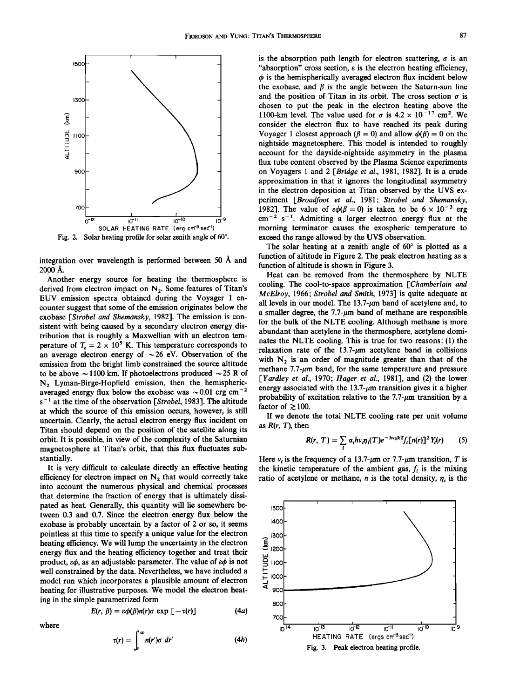

Fig. 2. Solar heating profile for solar zenith angle of 60°.

integration over wavelength is performed between 50 Å and **2000 A.** 

**Another energy source for heating the thermosphere is**  derived from electron impact on N<sub>2</sub>. Some features of Titan's **EUV emission spectra obtained during the Voyager 1 encounter suggest that some of the emission originates below the exobase [Strobel and Shemansky, 1982]. The emission is consistent with being caused by a secondary electron energy distribution that is roughly a Maxwellian with an electron temperature of**  $T_e = 2 \times 10^5$  **K. This temperature corresponds to** an average electron energy of  $\sim$  26 eV. Observation of the **emission from the bright limb constrained the source altitude**  to be above  $\sim$  1100 km. If photoelectrons produced  $\sim$  25 R of **N2 Lyman-Birge-Hopfield emission, then the hemispheric**averaged energy flux below the exobase was  $\sim 0.01$  erg cm<sup>-2</sup> **s- • at the time of the observation [Strobel, 1983]. The altitude at which the source of this emission occurs, however, is still uncertain. Clearly, the actual electron energy flux incident on Titan should depend on the position of the satellite along its orbit. It is possible, in view of the complexity of the Saturnian magnetosphere at Titan's orbit, that this flux fluctuates substantially.** 

**It is very difficult to calculate directly an effective heating**  efficiency for electron impact on  $N_2$  that would correctly take **into account the numerous physical and chemical processes that determine the fraction of energy that is ultimately dissipated as heat. Generally, this quantity will lie somewhere between 0.3 and 0.7. Since the electron energy flux below the exobase is probably uncertain by a factor of 2 or so, it seems pointless at this time to specify a unique value for the electron heating efficiency. We will lump the uncertainty in the electron energy flux and the heating efficiency together and treat their**  product,  $\varepsilon\phi$ , as an adjustable parameter. The value of  $\varepsilon\phi$  is not **well constrained by the data. Nevertheless, we have included a model run which incorporates a plausible amount of electron heating for illustrative purposes. We model the electron heating in the simple parametrized form** 

$$
E(r, \beta) = \varepsilon \phi(\beta) n(r) \sigma \exp \left[ -\tau(r) \right] \tag{4a}
$$

**where** 

$$
\tau(r) = \int_r^{\infty} n(r')\sigma \; dr' \tag{4b}
$$

is the absorption path length for electron scattering,  $\sigma$  is an **"absorption" cross section, e is the electron heating efficiency,**   $\phi$  is the hemispherically averaged electron flux incident below the exobase, and  $\beta$  is the angle between the Saturn-sun line and the position of Titan in its orbit. The cross section  $\sigma$  is **chosen to put the peak in the electron heating above the**  1100-km level. The value used for  $\sigma$  is  $4.2 \times 10^{-17}$  cm<sup>2</sup>. We **consider the electron flux to have reached its peak during**  Voyager 1 closest approach  $(\beta = 0)$  and allow  $\phi(\beta) = 0$  on the **nightside magnetosphere. This model is intended to roughly account for the dayside-nightside asymmetry in the plasma flux tube content observed by the Plasma Science experiments on Voyagers 1 and 2 [Bridge et al., 1981, 1982]. It is a crude approximation in that it ignores the longitudinal asymmetry in the electron deposition at Titan observed by the UVS ex**periment [Broadfoot et al., 1981; Strobel and Shemansky, **1982]. The value of**  $\epsilon \phi(\beta = 0)$  **is taken to be**  $6 \times 10^{-3}$  **erg** cm<sup>-2</sup> s<sup>-1</sup>. Admitting a larger electron energy flux at the **morning terminator causes the exospheric temperature to exceed the range allowed by the UVS observation.** 

The solar heating at a zenith angle of  $60^\circ$  is plotted as a **function of altitude in Figure 2. The peak electron heating as a function of altitude is shown in Figure 3.** 

**Heat can be removed from the thermosphere by NLTE cooling. The cool-to-space approximation [Chamberlain and McElroy, 1966; Strobel and Smith, 1973] is quite adequate at**  all levels in our model. The  $13.7$ - $\mu$ m band of acetylene and, to a smaller degree, the  $7.7-\mu m$  band of methane are responsible **for the bulk of the NLTE cooling. Although methane is more abundant than acetylene in the thermosphere, acetylene dominates the NLTE cooling. This is true for two reasons' (1) the**  relaxation rate of the  $13.7-\mu m$  acetylene band in collisions with  $N_2$  is an order of magnitude greater than that of the methane 7.7- $\mu$ m band, for the same temperature and pressure **[Yardley et al., 1970; Hager et al., 1981], and (2) the lower**  energy associated with the  $13.7$ - $\mu$ m transition gives it a higher probability of excitation relative to the  $7.7-\mu m$  transition by a factor of  $\gtrsim$  100.

**If we denote the total NLTE cooling rate per unit volume as R(r, T), then** 

$$
R(r, T) = \sum_{i} \alpha_{i} h v_{i} \eta_{i}(T) e^{-h v_{i}/kT} f_{i}[n(r)]^{2} Y_{i}(r) \qquad (5)
$$

Here  $v_i$  is the frequency of a 13.7- $\mu$ m or 7.7- $\mu$ m transition, T is the kinetic temperature of the ambient gas,  $f_i$  is the mixing ratio of acetylene or methane, *n* is the total density,  $\eta_i$  is the

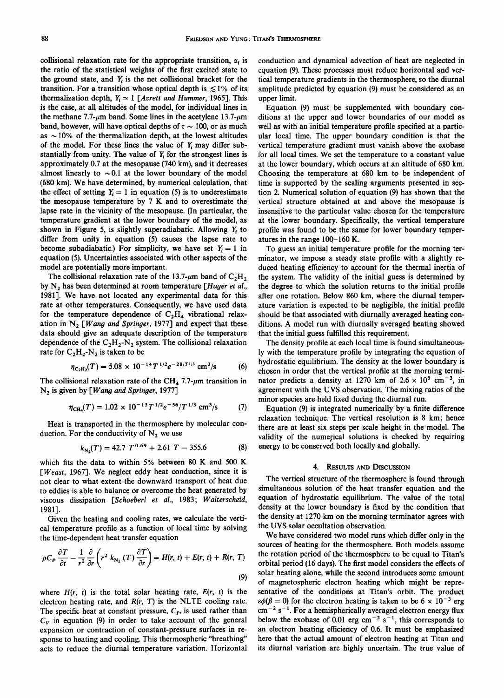collisional relaxation rate for the appropriate transition,  $\alpha_i$  is **the ratio of the statistical weights of the first excited state to**  the ground state, and  $Y_t$  is the net collisional bracket for the **transition.** For a transition whose optical depth is  $\leq 1\%$  of its **thermalization depth,**  $Y_i \approx 1$  **[Avrett and Hummer, 1965]. This is the case, at all altitudes of the model, for individual lines in**  the methane  $7.7-\mu m$  band. Some lines in the acetylene  $13.7-\mu m$ band, however, will have optical depths of  $\tau \sim 100$ , or as much as  $\sim$  10% of the thermalization depth, at the lowest altitudes of the model. For these lines the value of Y<sub>i</sub> may differ substantially from unity. The value of Y<sub>i</sub> for the strongest lines is **approximately 0.7 at the mesopause (740 km), and it decreases**  almost linearly to  $\sim 0.1$  at the lower boundary of the model **(680 km). We have determined, by numerical calculation, that**  the effect of setting  $Y_i = 1$  in equation (5) is to underestimate **the mesopause temperature by 7 K and to overestimate the lapse rate in the vicinity of the mesopause. (In particular, the temperature gradient at the lower boundary of the model, as shown in Figure 5, is slightly superadiabatic. Allowing Y• to differ from unity in equation (5) causes the lapse rate to**  become subadiabatic.) For simplicity, we have set  $Y_i = 1$  in **equation (5). Uncertainties associated with other aspects of the model are potentially more important.** 

The collisional relaxation rate of the  $13.7$ - $\mu$ m band of  $C_2H_2$ by N<sub>2</sub> has been determined at room temperature [*Hager et al.*, **1981]. We have not located any experimental data for this rate at other temperatures. Consequently, we have used data**  for the temperature dependence of  $C_2H_4$  vibrational relaxation in  $N_2$  [*Wang and Springer*, 1977] and expect that these **data should give an adequate description of the temperature**  dependence of the  $C_2H_2-N_2$  system. The collisional relaxation rate for  $C_2H_2-N_2$  is taken to be

$$
\eta_{\rm C_2H_2}(T) = 5.08 \times 10^{-14} T^{1/2} e^{-28/T^{1/3}} \, \rm cm^3/s \tag{6}
$$

The collisional relaxation rate of the CH<sub>4</sub> 7.7- $\mu$ m transition in **N2 is given by [Wang and Springer, 1977]** 

$$
\eta_{\text{CH}_4}(T) = 1.02 \times 10^{-13} T^{1/2} e^{-56} / T^{1/3} \text{ cm}^3/\text{s} \tag{7}
$$

**Heat is transported in the thermosphere by molecular con**duction. For the conductivity of  $N_2$  we use

$$
k_{\rm N_2}(T) = 42.7 T^{0.69} + 2.61 T - 355.6
$$
 (8)

**which fits the data to within 5% between 80 K and 500 K [Weast, 1967]. We neglect eddy heat conduction, since it is not clear to what extent the downward transport of heat due to eddies is able to balance or overcome the heat generated by viscous dissipation [\$choeberl et al., 1983' Walterscheid, 1981].** 

**Given the heating and cooling rates, we calculate the vertical temperature profile as a function of local time by solving the time-dependent heat transfer equation** 

$$
\rho C_P \frac{\partial T}{\partial t} - \frac{1}{r^2} \frac{\partial}{\partial r} \left( r^2 k_{N_2} (T) \frac{\partial T}{\partial r} \right) = H(r, t) + E(r, t) + R(r, T)
$$
\n(9)

where  $H(r, t)$  is the total solar heating rate,  $E(r, t)$  is the electron heating rate, and  $R(r, T)$  is the NLTE cooling rate. The specific heat at constant pressure,  $C_p$ , is used rather than  $C_V$  in equation (9) in order to take account of the general **expansion or contraction of constant-pressure surfaces in response to heating and cooling. This thermospheric "breathing" acts to reduce the diurnal temperature variation. Horizontal**  **conduction and dynamical advection of heat are neglected in equation (9). These processes must reduce horizontal and vertical temperature gradients in the thermosphere, so the diurnal amplitude predicted by equation (9) must be considered as an upper limit.** 

**Equation (9) must be supplemented with boundary conditions at the upper and lower boundaries of our model as well as with an initial temperature profile specified at a particular local time. The upper boundary condition is that the vertical temperature gradient must vanish above the exobase for all local times. We set the temperature to a constant value at the lower boundary, which occurs at an altitude of 680 km. Choosing the temperature at 680 km to be independent of time is supported by the scaling arguments presented in section 2. Numerical solution of equation (9) has shown that the vertical structure obtained at and above the mesopause is insensitive to the particular value chosen for the temperature at the lower boundary. Specifically, the vertical temperature profile was found to be the same for lower boundary temperatures in the range 100-160 K.** 

**To guess an initial temperature profile for the morning terminator, we impose a steady state profile with a slightly reduced heating efficiency to account for the thermal inertia of the system. The validity of the initial guess is determined by the degree to which the solution returns to the initial profile after one rotation. Below 860 km, where the diurnal temperature variation is expected to be negligible, the initial profile should be that associated with diurnally averaged heating conditions. A model run with diurnally averaged heating showed that the initial guess fulfilled this requirement.** 

**The density profile at each local time is found simultaneously with the temperature profile by integrating the equation of hydrostatic equilibrium. The density at the lower boundary is chosen in order that the vertical profile at the morning termi**nator predicts a density at 1270 km of  $2.6 \times 10^8$  cm<sup>-3</sup>, in **agreement with the UVS observation. The mixing ratios of the minor species are held fixed during the diurnal run.** 

**Equation (9) is integrated numerically by a finite difference relaxation technique. The vertical resolution is 8 km; hence there are at least six steps per scale height in the model. The validity of the numerical solutions is checked by requiring energy to be conserved both locally and globally.** 

# **4. RESULTS AND DISCUSSION**

**The vertical structure of the thermosphere is found through simultaneous solution of the heat transfer equation and the equation of hydrostatic equilibrium. The value of the total density at the lower boundary is fixed by the condition that the density at 1270 km on the morning terminator agrees with the UVS solar occultation observation.** 

**We have considered two model runs which differ only in the sources of heating for the thermosphere. Both models assume the rotation period of the thermosphere to be equal to Titan's orbital period (16 days). The first model considers the effects of solar heating alone, while the second introduces some amount of magnetospheric electron heating which might be representative of the conditions at Titan's orbit. The product**   $\varepsilon\phi(\beta=0)$  for the electron heating is taken to be  $6 \times 10^{-3}$  erg  $cm^{-2}$  s<sup>-1</sup>. For a hemispherically averaged electron energy flux below the exobase of  $0.01$  erg cm<sup>-2</sup> s<sup>-1</sup>, this corresponds to **an electron heating efficiency of 0.6. It must be emphasized here that the actual amount of electron heating at Titan and its diurnal variation are highly uncertain. The true value of**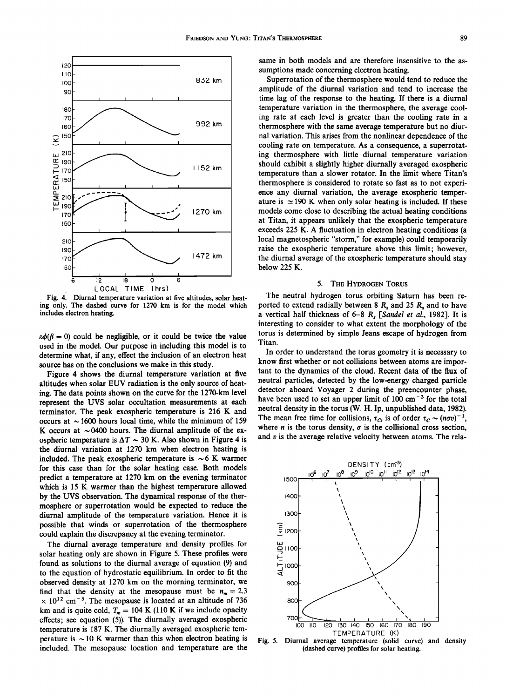

Fig. 4. Diurnal temperature variation at five altitudes, solar heat**ing only. The dashed curve for 1270 km is for the model which includes electron heating.** 

 $\epsilon\phi(\beta = 0)$  could be negligible, or it could be twice the value **used in the model. Our purpose in including this model is to determine what, if any, effect the inclusion of an electron heat source has on the conclusions we make in this study.** 

**Figure 4 shows the diurnal temperature variation at five altitudes when solar EUV radiation is the only source of heating. The data points shown on the curve for the 1270-km level represent the UVS solar occultation measurements at each terminator. The peak exospheric temperature is 216 K and**  occurs at  $\sim$  1600 hours local time, while the minimum of 159 K occurs at  $\sim$  0400 hours. The diurnal amplitude of the exospheric temperature is  $\Delta T \sim 30$  K. Also shown in Figure 4 is **the diurnal variation at 1270 km when electron heating is**  included. The peak exospheric temperature is  $\sim$  6 K warmer **for this case than for the solar heating case. Both models predict a temperature at 1270 km on the evening terminator which is 15 K warmer than the highest temperature allowed by the UVS observation. The dynamical response of the thermosphere or superrotation would be expected to reduce the diurnal amplitude of the temperature variation. Hence it is possible that winds or superrotation of the thermosphere could explain the discrepancy at the evening terminator.** 

**The diurnal average temperature and density profiles for solar heating only are shown in Figure 5. These profiles were found as solutions to the diurnal average of equation (9) and to the equation of hydrostatic equilibrium. In order to fit the observed density at 1270 km on the morning terminator, we**  find that the density at the mesopause must be  $n_m = 2.3$  $\times$  10<sup>12</sup> cm<sup>-3</sup>. The mesopause is located at an altitude of 736 km and is quite cold,  $T_m = 104$  K (110 K if we include opacity **effects; see equation (5)). The diurnally averaged exospheric temperature is 187 K. The diurnally averaged exospheric temperature is**  $\sim$  **10 K warmer than this when electron heating is included. The mesopause location and temperature are the** 

**same in both models and are therefore insensitive to the assumptions made concerning electron heating.** 

**Superrotation of the thermosphere would tend to reduce the amplitude of the diurnal variation and tend to increase the time lag of the response to the heating. If there is a diurnal temperature variation in the thermosphere, the average cooling rate at each level is greater than the cooling rate in a thermosphere with the same average temperature but no diurnal variation. This arises from the nonlinear dependence of the**  cooling rate on temperature. As a consequence, a superrotat**ing thermosphere with little diurnal temperature variation should exhibit a slightly higher diurnally averaged exospheric temperature than a slower rotator. In the limit where Titan's thermosphere is considered to rotate so fast as to not experience any diurnal variation, the average exospheric temper**ature is  $\simeq$  190 K when only solar heating is included. If these **models come close to describing the actual heating conditions at Titan, it appears unlikely that the exospheric temperature exceeds 225 K. A fluctuation in electron heating conditions (a local magnetospheric "storm," for example) could temporarily raise the exospheric temperature above this limit; however, the diurnal average of the exospheric temperature should stay below 225 K.** 

## **5. THE HYDROGEN TORUS**

**The neutral hydrogen torus orbiting Saturn has been re**ported to extend radially between  $8 R_s$  and  $25 R_s$  and to have a vertical half thickness of  $6-8$   $R_s$  [Sandel et al., 1982]. It is **interesting to consider to what extent the morphology of the torus is determined by simple Jeans escape of hydrogen from Titan.** 

**In order to understand the torus geometry it is necessary to know first whether or not collisions between atoms are important to the dynamics of the cloud. Recent data of the flux of neutral particles, detected by the low-energy charged particle detector aboard Voyager 2 during the preencounter phase,**  have been used to set an upper limit of 100 cm<sup>-3</sup> for the total **neutral density in the torus (W. H. Ip, unpublished data, 1982).**  The mean free time for collisions,  $\tau_c$ , is of order  $\tau_c \sim (n\sigma v)^{-1}$ , where *n* is the torus density,  $\sigma$  is the collisional cross section, **and v is the average relative velocity between atoms. The rela-**



**Fig. 5. Diurnal average temperature (solid curve) and density (dashed curve) profiles for solar heating.**